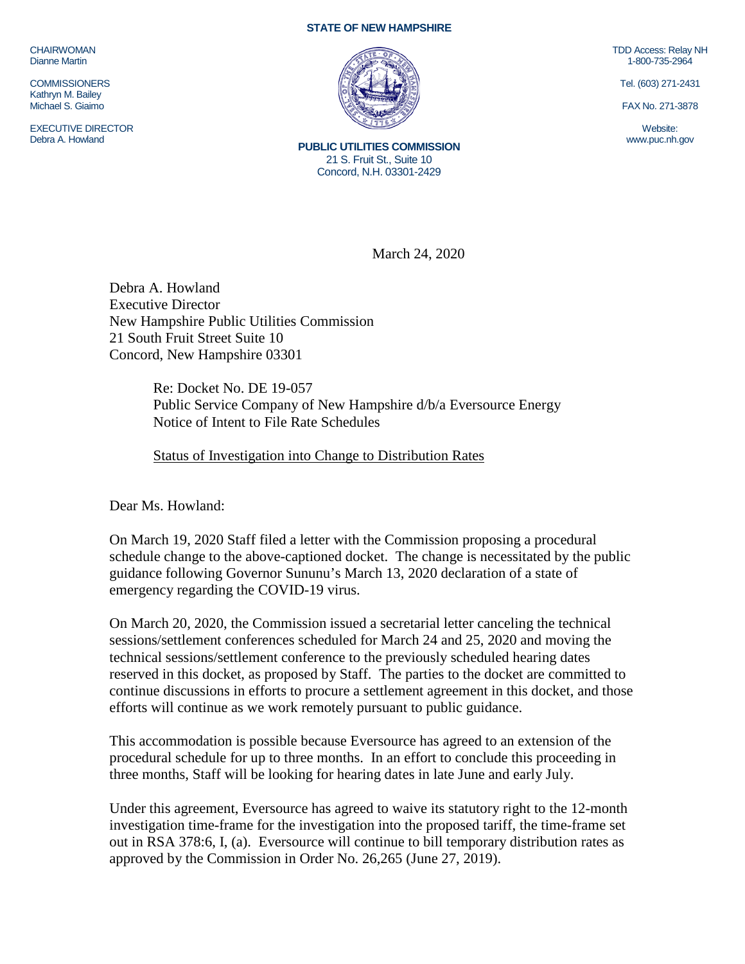CHAIRWOMAN Dianne Martin

**COMMISSIONERS** Kathryn M. Bailey Michael S. Giaimo

EXECUTIVE DIRECTOR Debra A. Howland

## **STATE OF NEW HAMPSHIRE**



**PUBLIC UTILITIES COMMISSION** 21 S. Fruit St., Suite 10 Concord, N.H. 03301-2429

TDD Access: Relay NH 1-800-735-2964

Tel. (603) 271-2431

FAX No. 271-3878

Website: www.puc.nh.gov

March 24, 2020

Debra A. Howland Executive Director New Hampshire Public Utilities Commission 21 South Fruit Street Suite 10 Concord, New Hampshire 03301

> Re: Docket No. DE 19-057 Public Service Company of New Hampshire d/b/a Eversource Energy Notice of Intent to File Rate Schedules

Status of Investigation into Change to Distribution Rates

Dear Ms. Howland:

On March 19, 2020 Staff filed a letter with the Commission proposing a procedural schedule change to the above-captioned docket. The change is necessitated by the public guidance following Governor Sununu's March 13, 2020 declaration of a state of emergency regarding the COVID-19 virus.

On March 20, 2020, the Commission issued a secretarial letter canceling the technical sessions/settlement conferences scheduled for March 24 and 25, 2020 and moving the technical sessions/settlement conference to the previously scheduled hearing dates reserved in this docket, as proposed by Staff. The parties to the docket are committed to continue discussions in efforts to procure a settlement agreement in this docket, and those efforts will continue as we work remotely pursuant to public guidance.

This accommodation is possible because Eversource has agreed to an extension of the procedural schedule for up to three months. In an effort to conclude this proceeding in three months, Staff will be looking for hearing dates in late June and early July.

Under this agreement, Eversource has agreed to waive its statutory right to the 12-month investigation time-frame for the investigation into the proposed tariff, the time-frame set out in RSA 378:6, I, (a). Eversource will continue to bill temporary distribution rates as approved by the Commission in Order No. 26,265 (June 27, 2019).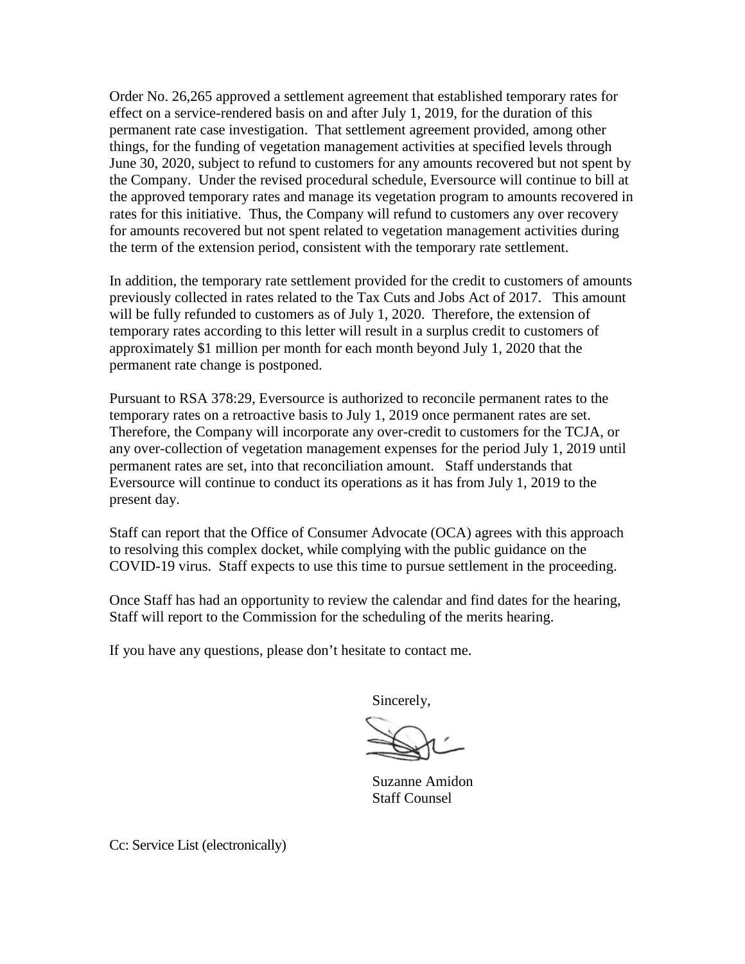Order No. 26,265 approved a settlement agreement that established temporary rates for effect on a service-rendered basis on and after July 1, 2019, for the duration of this permanent rate case investigation. That settlement agreement provided, among other things, for the funding of vegetation management activities at specified levels through June 30, 2020, subject to refund to customers for any amounts recovered but not spent by the Company. Under the revised procedural schedule, Eversource will continue to bill at the approved temporary rates and manage its vegetation program to amounts recovered in rates for this initiative. Thus, the Company will refund to customers any over recovery for amounts recovered but not spent related to vegetation management activities during the term of the extension period, consistent with the temporary rate settlement.

In addition, the temporary rate settlement provided for the credit to customers of amounts previously collected in rates related to the Tax Cuts and Jobs Act of 2017. This amount will be fully refunded to customers as of July 1, 2020. Therefore, the extension of temporary rates according to this letter will result in a surplus credit to customers of approximately \$1 million per month for each month beyond July 1, 2020 that the permanent rate change is postponed.

Pursuant to RSA 378:29, Eversource is authorized to reconcile permanent rates to the temporary rates on a retroactive basis to July 1, 2019 once permanent rates are set. Therefore, the Company will incorporate any over-credit to customers for the TCJA, or any over-collection of vegetation management expenses for the period July 1, 2019 until permanent rates are set, into that reconciliation amount. Staff understands that Eversource will continue to conduct its operations as it has from July 1, 2019 to the present day.

Staff can report that the Office of Consumer Advocate (OCA) agrees with this approach to resolving this complex docket, while complying with the public guidance on the COVID-19 virus. Staff expects to use this time to pursue settlement in the proceeding.

Once Staff has had an opportunity to review the calendar and find dates for the hearing, Staff will report to the Commission for the scheduling of the merits hearing.

If you have any questions, please don't hesitate to contact me.

Sincerely,

Suzanne Amidon Staff Counsel

Cc: Service List (electronically)